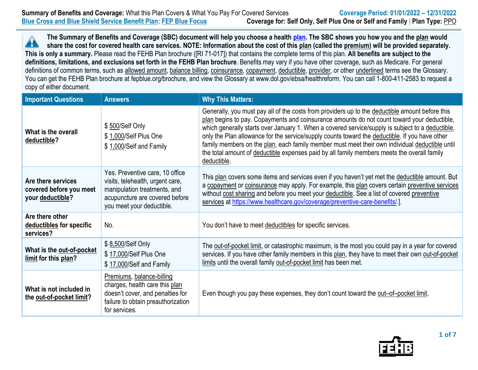**The Summary of Benefits and Coverage (SBC) document will help you choose a health [plan.](https://www.opm.gov/healthcare-insurance/healthcare/plan-information/compare-plans/) The SBC shows you how you and the plan would** Â **share the cost for covered health care services. NOTE: Information about the cost of this plan (called the premium) will be provided separately. This is only a summary.** Please read the FEHB Plan brochure ([RI 71-017]) that contains the complete terms of this plan. **All benefits are subject to the definitions, limitations, and exclusions set forth in the FEHB Plan brochure**. Benefits may vary if you have other coverage, such as Medicare. For general definitions of common terms, such as allowed amount, balance billing, coinsurance, copayment, deductible, provider, or other underlined terms see the Glossary. You can get the FEHB Plan brochure at fepblue.org/brochure, and view the Glossary at www.dol.gov/ebsa/healthreform. You can call 1-800-411-2583 to request a copy of either document.

| <b>Important Questions</b>                                        | <b>Answers</b>                                                                                                                                                     | <b>Why This Matters:</b>                                                                                                                                                                                                                                                                                                                                                                                                                                                                                                                                                                                             |  |  |
|-------------------------------------------------------------------|--------------------------------------------------------------------------------------------------------------------------------------------------------------------|----------------------------------------------------------------------------------------------------------------------------------------------------------------------------------------------------------------------------------------------------------------------------------------------------------------------------------------------------------------------------------------------------------------------------------------------------------------------------------------------------------------------------------------------------------------------------------------------------------------------|--|--|
| What is the overall<br>deductible?                                | \$500/Self Only<br>\$1,000/Self Plus One<br>\$1,000/Self and Family                                                                                                | Generally, you must pay all of the costs from providers up to the deductible amount before this<br>plan begins to pay. Copayments and coinsurance amounts do not count toward your deductible,<br>which generally starts over January 1. When a covered service/supply is subject to a deductible,<br>only the Plan allowance for the service/supply counts toward the deductible. If you have other<br>family members on the plan, each family member must meet their own individual deductible until<br>the total amount of deductible expenses paid by all family members meets the overall family<br>deductible. |  |  |
| Are there services<br>covered before you meet<br>your deductible? | Yes. Preventive care, 10 office<br>visits, telehealth, urgent care,<br>manipulation treatments, and<br>acupuncture are covered before<br>you meet your deductible. | This plan covers some items and services even if you haven't yet met the deductible amount. But<br>a copayment or coinsurance may apply. For example, this plan covers certain preventive services<br>without cost sharing and before you meet your deductible. See a list of covered preventive<br>services at https://www.healthcare.gov/coverage/preventive-care-benefits/.].                                                                                                                                                                                                                                     |  |  |
| Are there other<br>deductibles for specific<br>services?          | No.                                                                                                                                                                | You don't have to meet deductibles for specific services.                                                                                                                                                                                                                                                                                                                                                                                                                                                                                                                                                            |  |  |
| What is the out-of-pocket<br>limit for this plan?                 | \$8,500/Self Only<br>\$17,000/Self Plus One<br>\$17,000/Self and Family                                                                                            | The out-of-pocket limit, or catastrophic maximum, is the most you could pay in a year for covered<br>services. If you have other family members in this plan, they have to meet their own out-of-pocket<br>limits until the overall family out-of-pocket limit has been met.                                                                                                                                                                                                                                                                                                                                         |  |  |
| What is not included in<br>the out-of-pocket limit?               | Premiums, balance-billing<br>charges, health care this plan<br>doesn't cover, and penalties for<br>failure to obtain preauthorization<br>for services.             | Even though you pay these expenses, they don't count toward the out-of-pocket limit.                                                                                                                                                                                                                                                                                                                                                                                                                                                                                                                                 |  |  |

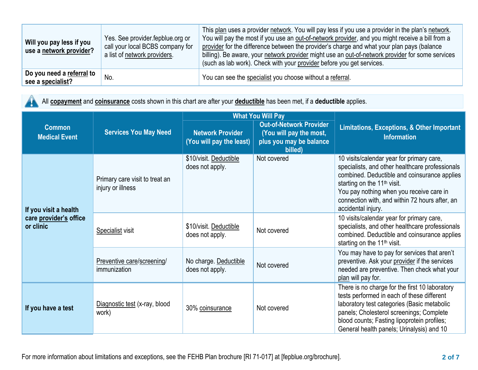| Will you pay less if you<br>use a network provider? | Yes. See provider fepblue org or<br>call your local BCBS company for<br>a list of network providers. | This plan uses a provider network. You will pay less if you use a provider in the plan's network.<br>You will pay the most if you use an out-of-network provider, and you might receive a bill from a<br>provider for the difference between the provider's charge and what your plan pays (balance<br>billing). Be aware, your network provider might use an out-of-network provider for some services<br>(such as lab work). Check with your provider before you get services. |
|-----------------------------------------------------|------------------------------------------------------------------------------------------------------|----------------------------------------------------------------------------------------------------------------------------------------------------------------------------------------------------------------------------------------------------------------------------------------------------------------------------------------------------------------------------------------------------------------------------------------------------------------------------------|
| Do you need a referral to<br>see a specialist?      | No.                                                                                                  | You can see the specialist you choose without a referral.                                                                                                                                                                                                                                                                                                                                                                                                                        |

All **copayment** and **coinsurance** costs shown in this chart are after your **deductible** has been met, if a **deductible** applies. 41

|                                       |                                                     |                                                     | <b>What You Will Pay</b>                                                                        |                                                                                                                                                                                                                                                                                                             |  |
|---------------------------------------|-----------------------------------------------------|-----------------------------------------------------|-------------------------------------------------------------------------------------------------|-------------------------------------------------------------------------------------------------------------------------------------------------------------------------------------------------------------------------------------------------------------------------------------------------------------|--|
| <b>Common</b><br><b>Medical Event</b> | <b>Services You May Need</b>                        | <b>Network Provider</b><br>(You will pay the least) | <b>Out-of-Network Provider</b><br>(You will pay the most,<br>plus you may be balance<br>billed) | <b>Limitations, Exceptions, &amp; Other Important</b><br><b>Information</b>                                                                                                                                                                                                                                 |  |
| If you visit a health                 | Primary care visit to treat an<br>injury or illness | \$10/visit. Deductible<br>does not apply.           | Not covered                                                                                     | 10 visits/calendar year for primary care,<br>specialists, and other healthcare professionals<br>combined. Deductible and coinsurance applies<br>starting on the 11 <sup>th</sup> visit.<br>You pay nothing when you receive care in<br>connection with, and within 72 hours after, an<br>accidental injury. |  |
| care provider's office<br>or clinic   | <b>Specialist visit</b>                             | \$10/visit. Deductible<br>does not apply.           | Not covered                                                                                     | 10 visits/calendar year for primary care,<br>specialists, and other healthcare professionals<br>combined. Deductible and coinsurance applies<br>starting on the 11 <sup>th</sup> visit.                                                                                                                     |  |
|                                       | Preventive care/screening/<br>immunization          | No charge. Deductible<br>does not apply.            | Not covered                                                                                     | You may have to pay for services that aren't<br>preventive. Ask your provider if the services<br>needed are preventive. Then check what your<br>plan will pay for.                                                                                                                                          |  |
| If you have a test                    | Diagnostic test (x-ray, blood<br>work)              | 30% coinsurance                                     | Not covered                                                                                     | There is no charge for the first 10 laboratory<br>tests performed in each of these different<br>laboratory test categories (Basic metabolic<br>panels; Cholesterol screenings; Complete<br>blood counts; Fasting lipoprotein profiles;<br>General health panels; Urinalysis) and 10                         |  |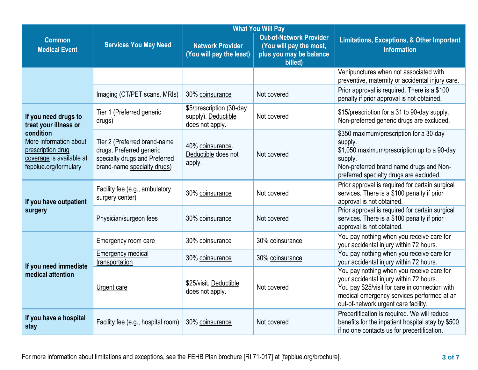|                                                                                                               |                                                                                                                          |                                                                    | <b>What You Will Pay</b>                                                             |                                                                                                                                                                                                                              |  |
|---------------------------------------------------------------------------------------------------------------|--------------------------------------------------------------------------------------------------------------------------|--------------------------------------------------------------------|--------------------------------------------------------------------------------------|------------------------------------------------------------------------------------------------------------------------------------------------------------------------------------------------------------------------------|--|
| <b>Common</b><br><b>Medical Event</b>                                                                         | <b>Services You May Need</b><br><b>Network Provider</b><br>(You will pay the least)<br>billed)                           |                                                                    | <b>Out-of-Network Provider</b><br>(You will pay the most,<br>plus you may be balance | <b>Limitations, Exceptions, &amp; Other Important</b><br><b>Information</b>                                                                                                                                                  |  |
|                                                                                                               |                                                                                                                          |                                                                    |                                                                                      | Venipunctures when not associated with<br>preventive, maternity or accidental injury care.                                                                                                                                   |  |
|                                                                                                               | Imaging (CT/PET scans, MRIs)                                                                                             | 30% coinsurance                                                    | Not covered                                                                          | Prior approval is required. There is a \$100<br>penalty if prior approval is not obtained.                                                                                                                                   |  |
| If you need drugs to<br>treat your illness or                                                                 | Tier 1 (Preferred generic<br>drugs)                                                                                      | \$5/prescription (30-day<br>supply). Deductible<br>does not apply. | Not covered                                                                          | \$15/prescription for a 31 to 90-day supply.<br>Non-preferred generic drugs are excluded.                                                                                                                                    |  |
| condition<br>More information about<br>prescription drug<br>coverage is available at<br>fepblue.org/formulary | Tier 2 (Preferred brand-name<br>drugs, Preferred generic<br>specialty drugs and Preferred<br>brand-name specialty drugs) | 40% coinsurance.<br>Deductible does not<br>apply.                  | supply.<br>Not covered<br>supply.                                                    | \$350 maximum/prescription for a 30-day<br>\$1,050 maximum/prescription up to a 90-day<br>Non-preferred brand name drugs and Non-<br>preferred specialty drugs are excluded.                                                 |  |
| If you have outpatient                                                                                        | Facility fee (e.g., ambulatory<br>surgery center)                                                                        | 30% coinsurance                                                    | Not covered                                                                          | Prior approval is required for certain surgical<br>services. There is a \$100 penalty if prior<br>approval is not obtained.                                                                                                  |  |
| surgery                                                                                                       | Physician/surgeon fees                                                                                                   | 30% coinsurance                                                    | Not covered                                                                          | Prior approval is required for certain surgical<br>services. There is a \$100 penalty if prior<br>approval is not obtained.                                                                                                  |  |
|                                                                                                               | Emergency room care                                                                                                      | 30% coinsurance                                                    | 30% coinsurance                                                                      | You pay nothing when you receive care for<br>your accidental injury within 72 hours.                                                                                                                                         |  |
| If you need immediate                                                                                         | <b>Emergency medical</b><br>transportation                                                                               | 30% coinsurance                                                    | 30% coinsurance                                                                      | You pay nothing when you receive care for<br>your accidental injury within 72 hours.                                                                                                                                         |  |
| medical attention                                                                                             | Urgent care                                                                                                              | \$25/visit. Deductible<br>does not apply.                          | Not covered                                                                          | You pay nothing when you receive care for<br>your accidental injury within 72 hours.<br>You pay \$25/visit for care in connection with<br>medical emergency services performed at an<br>out-of-network urgent care facility. |  |
| If you have a hospital<br>stay                                                                                | Facility fee (e.g., hospital room)                                                                                       | 30% coinsurance                                                    | Not covered                                                                          | Precertification is required. We will reduce<br>benefits for the inpatient hospital stay by \$500<br>if no one contacts us for precertification.                                                                             |  |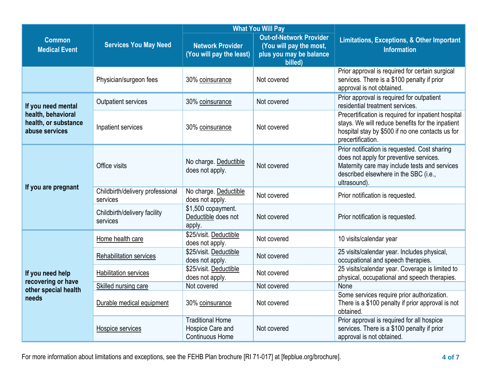|                                                              |                                              |                                                                       | <b>What You Will Pay</b>                                                                        | <b>Limitations, Exceptions, &amp; Other Important</b><br><b>Information</b>                                                                                                                        |  |
|--------------------------------------------------------------|----------------------------------------------|-----------------------------------------------------------------------|-------------------------------------------------------------------------------------------------|----------------------------------------------------------------------------------------------------------------------------------------------------------------------------------------------------|--|
| <b>Common</b><br><b>Medical Event</b>                        | <b>Services You May Need</b>                 | <b>Network Provider</b><br>(You will pay the least)                   | <b>Out-of-Network Provider</b><br>(You will pay the most,<br>plus you may be balance<br>billed) |                                                                                                                                                                                                    |  |
|                                                              | Physician/surgeon fees                       | 30% coinsurance                                                       | Not covered                                                                                     | Prior approval is required for certain surgical<br>services. There is a \$100 penalty if prior<br>approval is not obtained.                                                                        |  |
| If you need mental                                           | <b>Outpatient services</b>                   | 30% coinsurance                                                       | Not covered                                                                                     | Prior approval is required for outpatient<br>residential treatment services.                                                                                                                       |  |
| health, behavioral<br>health, or substance<br>abuse services | Inpatient services                           | 30% coinsurance                                                       | Not covered                                                                                     | Precertification is required for inpatient hospital<br>stays. We will reduce benefits for the inpatient<br>hospital stay by \$500 if no one contacts us for<br>precertification.                   |  |
|                                                              | Office visits                                | No charge. Deductible<br>does not apply.                              | Not covered                                                                                     | Prior notification is requested. Cost sharing<br>does not apply for preventive services.<br>Maternity care may include tests and services<br>described elsewhere in the SBC (i.e.,<br>ultrasound). |  |
| If you are pregnant                                          | Childbirth/delivery professional<br>services | No charge. Deductible<br>does not apply.                              | Not covered                                                                                     | Prior notification is requested.                                                                                                                                                                   |  |
|                                                              | Childbirth/delivery facility<br>services     | \$1,500 copayment.<br>Deductible does not<br>apply.                   | Not covered                                                                                     | Prior notification is requested.                                                                                                                                                                   |  |
|                                                              | Home health care                             | \$25/visit. Deductible<br>does not apply.                             | Not covered                                                                                     | 10 visits/calendar year                                                                                                                                                                            |  |
|                                                              | Rehabilitation services                      | \$25/visit. Deductible<br>does not apply.                             | Not covered                                                                                     | 25 visits/calendar year. Includes physical,<br>occupational and speech therapies.                                                                                                                  |  |
| If you need help<br>recovering or have                       | <b>Habilitation services</b>                 | \$25/visit. Deductible<br>does not apply.                             | Not covered                                                                                     | 25 visits/calendar year. Coverage is limited to<br>physical, occupational and speech therapies.                                                                                                    |  |
| other special health                                         | Skilled nursing care                         | Not covered                                                           | Not covered                                                                                     | None                                                                                                                                                                                               |  |
| needs                                                        | Durable medical equipment                    | 30% coinsurance                                                       | Not covered                                                                                     | Some services require prior authorization.<br>There is a \$100 penalty if prior approval is not<br>obtained.                                                                                       |  |
|                                                              | Hospice services                             | <b>Traditional Home</b><br>Hospice Care and<br><b>Continuous Home</b> | Not covered                                                                                     | Prior approval is required for all hospice<br>services. There is a \$100 penalty if prior<br>approval is not obtained.                                                                             |  |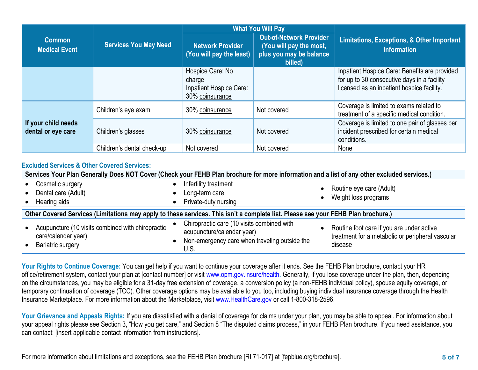|                                           | <b>Services You May Need</b> |                                                                          | <b>What You Will Pay</b>                                                                        |                                                                                                                                            |  |
|-------------------------------------------|------------------------------|--------------------------------------------------------------------------|-------------------------------------------------------------------------------------------------|--------------------------------------------------------------------------------------------------------------------------------------------|--|
| <b>Common</b><br><b>Medical Event</b>     |                              | Network Provider<br>(You will pay the least)                             | <b>Out-of-Network Provider</b><br>(You will pay the most,<br>plus you may be balance<br>billed) | Limitations, Exceptions, & Other Important<br><b>Information</b>                                                                           |  |
|                                           |                              | Hospice Care: No<br>charge<br>Inpatient Hospice Care:<br>30% coinsurance |                                                                                                 | Inpatient Hospice Care: Benefits are provided<br>for up to 30 consecutive days in a facility<br>licensed as an inpatient hospice facility. |  |
|                                           | Children's eye exam          | 30% coinsurance                                                          | Not covered                                                                                     | Coverage is limited to exams related to<br>treatment of a specific medical condition.                                                      |  |
| If your child needs<br>dental or eye care | Children's glasses           | 30% coinsurance                                                          | Not covered                                                                                     | Coverage is limited to one pair of glasses per<br>incident prescribed for certain medical<br>conditions.                                   |  |
|                                           | Children's dental check-up   | Not covered                                                              | Not covered                                                                                     | None                                                                                                                                       |  |

## **Excluded Services & Other Covered Services:**

|                                                                                                                                   | Services Your Plan Generally Does NOT Cover (Check your FEHB Plan brochure for more information and a list of any other excluded services.) |  |                                                                                                                                   |  |                                                                                                          |  |
|-----------------------------------------------------------------------------------------------------------------------------------|---------------------------------------------------------------------------------------------------------------------------------------------|--|-----------------------------------------------------------------------------------------------------------------------------------|--|----------------------------------------------------------------------------------------------------------|--|
|                                                                                                                                   | Cosmetic surgery<br>Dental care (Adult)<br>Hearing aids                                                                                     |  | Infertility treatment<br>Long-term care<br>Private-duty nursing                                                                   |  | Routine eye care (Adult)<br>Weight loss programs                                                         |  |
| Other Covered Services (Limitations may apply to these services. This isn't a complete list. Please see your FEHB Plan brochure.) |                                                                                                                                             |  |                                                                                                                                   |  |                                                                                                          |  |
|                                                                                                                                   | Acupuncture (10 visits combined with chiropractic<br>care/calendar year)<br><b>Bariatric surgery</b>                                        |  | Chiropractic care (10 visits combined with<br>acupuncture/calendar year)<br>Non-emergency care when traveling outside the<br>U.S. |  | Routine foot care if you are under active<br>treatment for a metabolic or peripheral vascular<br>disease |  |

**Your Rights to Continue Coverage:** You can get help if you want to continue your coverage after it ends. See the FEHB Plan brochure, contact your HR office/retirement system, contact your plan at [contact number] or visit [www.opm.gov.insure/health](http://www.opm.gov.insure/health)**.** Generally, if you lose coverage under the plan, then, depending on the circumstances, you may be eligible for a 31-day free extension of coverage, a conversion policy (a non-FEHB individual policy), spouse equity coverage, or temporary continuation of coverage (TCC). Other coverage options may be available to you too, including buying individual insurance coverage through the Health Insurance Marketplace. For more information about the Marketplace, visi[t www.HealthCare.gov](http://www.healthcare.gov/) or call 1-800-318-2596.

Your Grievance and Appeals Rights: If you are dissatisfied with a denial of coverage for claims under your plan, you may be able to appeal. For information about your appeal rights please see Section 3, "How you get care," and Section 8 "The disputed claims process," in your FEHB Plan brochure. If you need assistance, you can contact: [insert applicable contact information from instructions].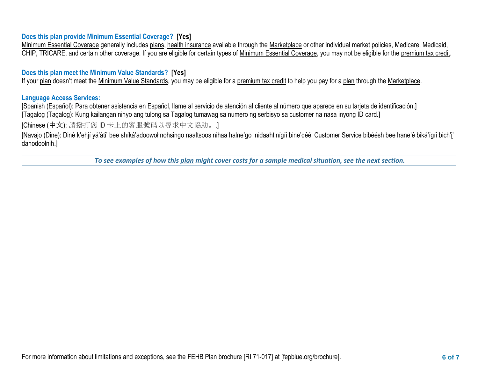## **Does this plan provide Minimum Essential Coverage? [Yes]**

Minimum Essential Coverage generally includes [plans,](https://www.healthcare.gov/sbc-glossary/#plan) [health insurance](https://www.healthcare.gov/sbc-glossary/#health-insurance) available through the [Marketplace](https://www.healthcare.gov/sbc-glossary/#marketplace) or other individual market policies, Medicare, Medicaid, CHIP, TRICARE, and certain other coverage. If you are eligible for certain types of [Minimum Essential Coverage,](https://www.healthcare.gov/sbc-glossary/#minimum-essential-coverage) you may not be eligible for the [premium tax credit.](https://www.healthcare.gov/sbc-glossary/#premium-tax-credits)

## **Does this plan meet the Minimum Value Standards? [Yes]**

If your plan doesn't meet the Minimum Value Standards, you may be eligible for a premium tax credit to help you pay for a plan through the Marketplace.

## **Language Access Services:**

[Spanish (Español): Para obtener asistencia en Español, llame al servicio de atención al cliente al número que aparece en su tarjeta de identificación.] [Tagalog (Tagalog): Kung kailangan ninyo ang tulong sa Tagalog tumawag sa numero ng serbisyo sa customer na nasa inyong ID card.]

[Chinese (中文): 請撥打您 ID 卡上的客服號碼以尋求中文協助。.]

[Navajo (Dine): Diné k'ehjí yá'áti' bee shíká'adoowoł nohsingo naaltsoos nihaa halne'go nidaahtinígíí bine'déé' Customer Service bibéésh bee hane'é biká'ígíí bich'į' dahodoołnih.]

*To see examples of how this plan might cover costs for a sample medical situation, see the next section.*